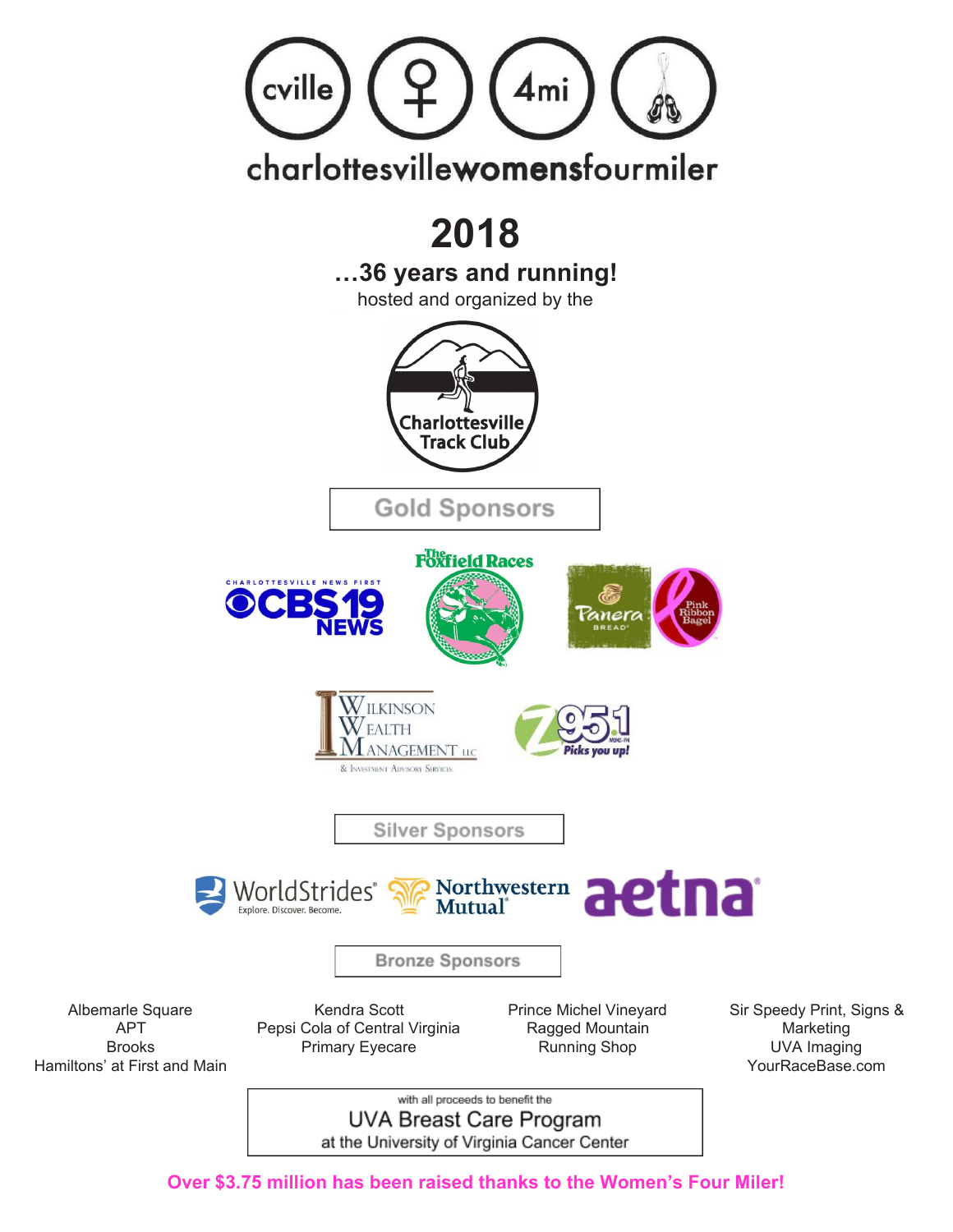

**Over \$3.75 million has been raised thanks to the Women's Four Miler! Over \$3.75 million has been raised thanks to the Women's Four Miler!**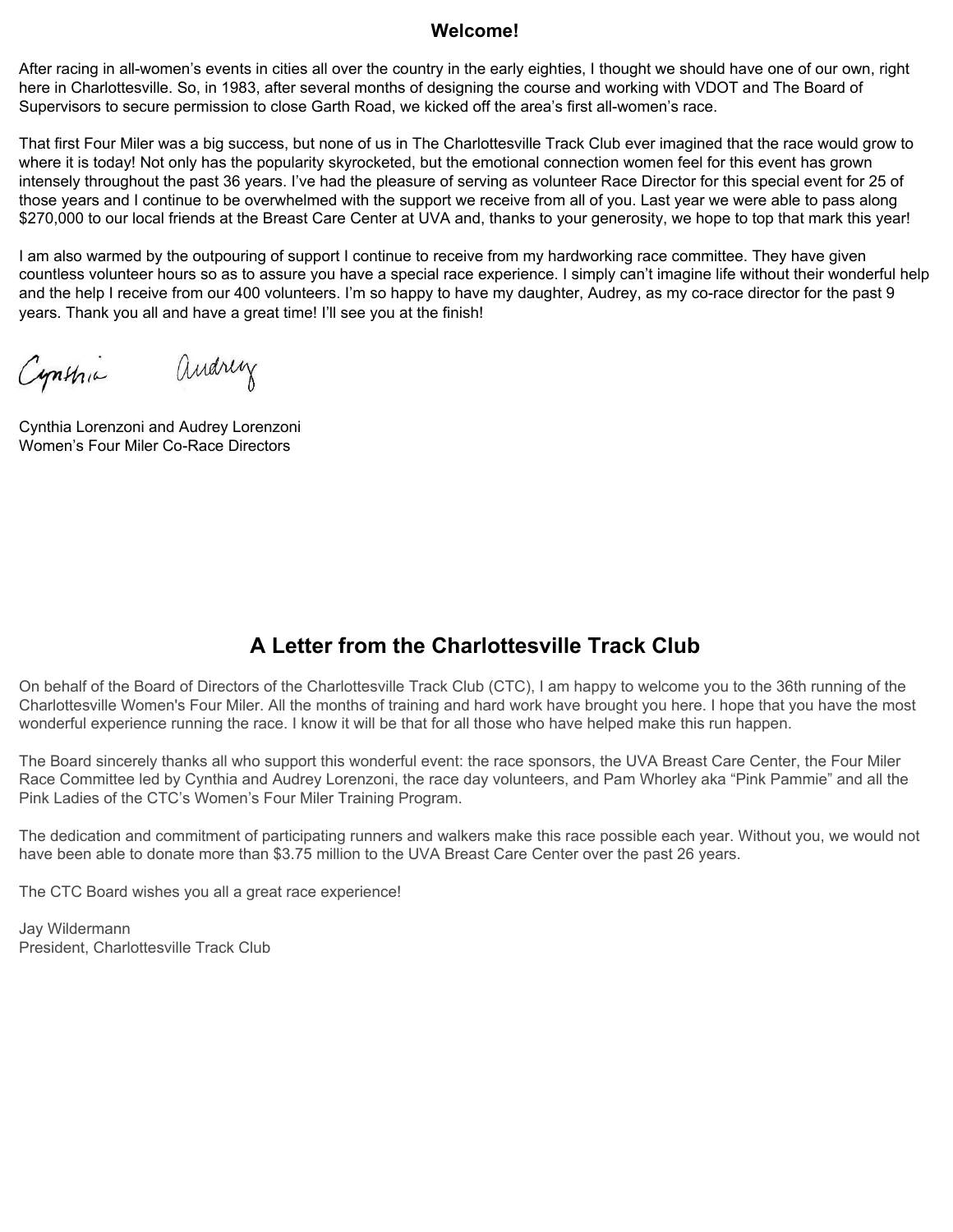#### **Welcome!**

After racing in all-women's events in cities all over the country in the early eighties, I thought we should have one of our own, right here in Charlottesville. So, in 1983, after several months of designing the course and working with VDOT and The Board of Supervisors to secure permission to close Garth Road, we kicked off the area's first all-women's race.

That first Four Miler was a big success, but none of us in The Charlottesville Track Club ever imagined that the race would grow to where it is today! Not only has the popularity skyrocketed, but the emotional connection women feel for this event has grown intensely throughout the past 36 years. I've had the pleasure of serving as volunteer Race Director for this special event for 25 of those years and I continue to be overwhelmed with the support we receive from all of you. Last year we were able to pass along \$270,000 to our local friends at the Breast Care Center at UVA and, thanks to your generosity, we hope to top that mark this year!

I am also warmed by the outpouring of support I continue to receive from my hardworking race committee. They have given countless volunteer hours so as to assure you have a special race experience. I simply can't imagine life without their wonderful help and the help I receive from our 400 volunteers. I'm so happy to have my daughter, Audrey, as my co-race director for the past 9 years. Thank you all and have a great time! I'll see you at the finish!

andrey Cynthia

Cynthia Lorenzoni and Audrey Lorenzoni Women's Four Miler Co-Race Directors

#### **A Letter from the Charlottesville Track Club**

On behalf of the Board of Directors of the Charlottesville Track Club (CTC), I am happy to welcome you to the 36th running of the Charlottesville Women's Four Miler. All the months of training and hard work have brought you here. I hope that you have the most wonderful experience running the race. I know it will be that for all those who have helped make this run happen.

The Board sincerely thanks all who support this wonderful event: the race sponsors, the UVA Breast Care Center, the Four Miler Race Committee led by Cynthia and Audrey Lorenzoni, the race day volunteers, and Pam Whorley aka "Pink Pammie" and all the Pink Ladies of the CTC's Women's Four Miler Training Program.

The dedication and commitment of participating runners and walkers make this race possible each year. Without you, we would not have been able to donate more than \$3.75 million to the UVA Breast Care Center over the past 26 years.

The CTC Board wishes you all a great race experience!

Jay Wildermann President, Charlottesville Track Club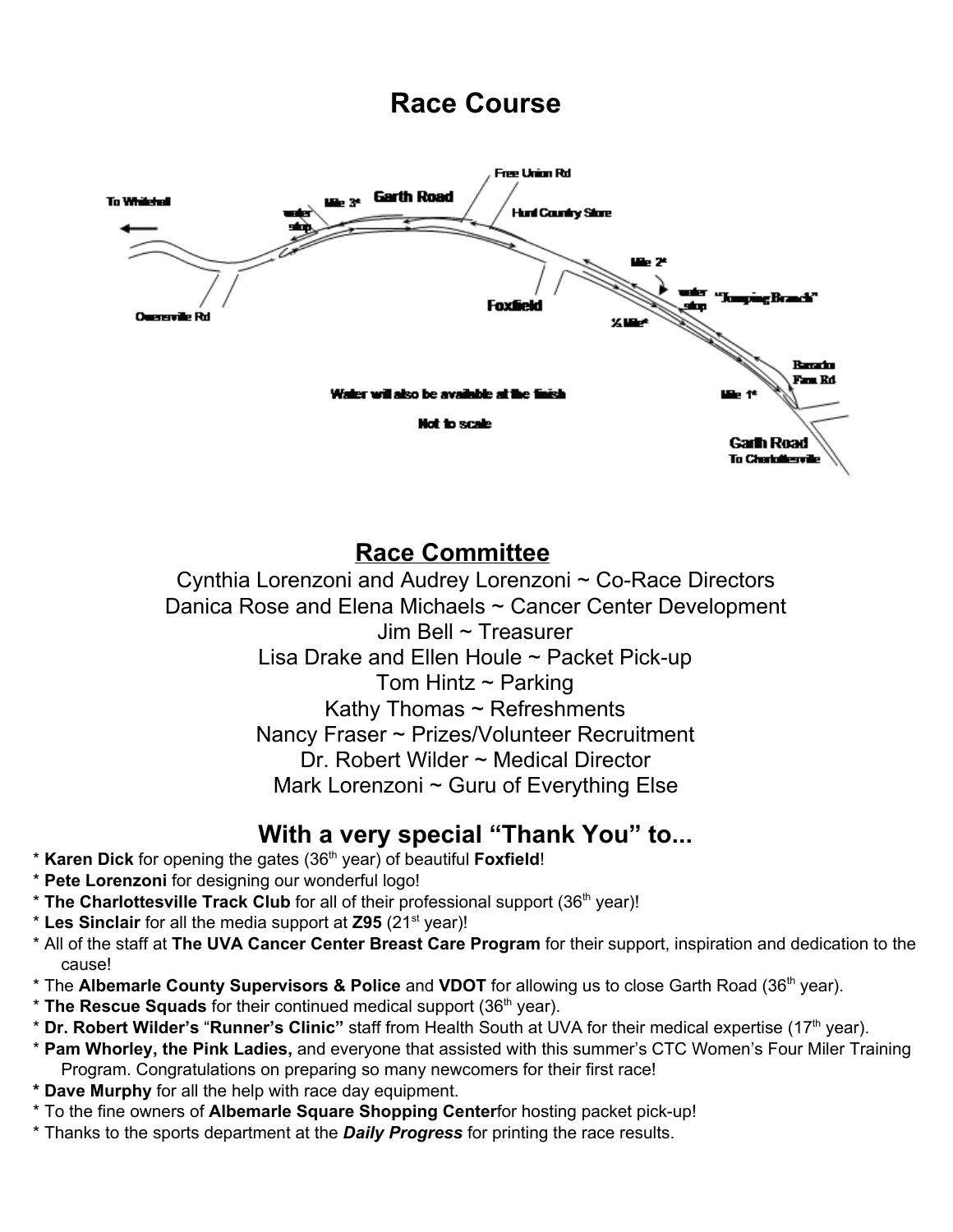# **Race Course**



## **Race Committee**

Cynthia Lorenzoni and Audrey Lorenzoni ~ Co-Race Directors Danica Rose and Elena Michaels ~ Cancer Center Development Jim Bell ~ Treasurer Lisa Drake and Ellen Houle ~ Packet Pick-up Tom Hintz  $\sim$  Parking Kathy Thomas ~ Refreshments Nancy Fraser ~ Prizes/Volunteer Recruitment Dr. Robert Wilder ~ Medical Director Mark Lorenzoni ~ Guru of Everything Else

### **With a very special "Thank You" to...**

- \* **Karen Dick** for opening the gates (36 th year) of beautiful **Foxfield**!
- \* **Pete Lorenzoni** for designing our wonderful logo!
- \* **The Charlottesville Track Club** for all of their professional support (36 th year)!
- \* **Les Sinclair** for all the media support at **Z95** (21 st year)!
- \* All of the staff at **The UVA Cancer Center Breast Care Program** for their support, inspiration and dedication to the cause!
- \* The **Albemarle County Supervisors & Police** and **VDOT** for allowing us to close Garth Road (36 th year).
- \* **The Rescue Squads** for their continued medical support (36 th year).
- \* **Dr. Robert Wilder's** "**Runner's Clinic"** staff from Health South at UVA for their medical expertise (17 th year).
- \* **Pam Whorley, the Pink Ladies,** and everyone that assisted with this summer's CTC Women's Four Miler Training Program. Congratulations on preparing so many newcomers for their first race!
- **\* Dave Murphy** for all the help with race day equipment.
- \* To the fine owners of **Albemarle Square Shopping Center**for hosting packet pick-up!
- \* Thanks to the sports department at the *Daily Progress* for printing the race results.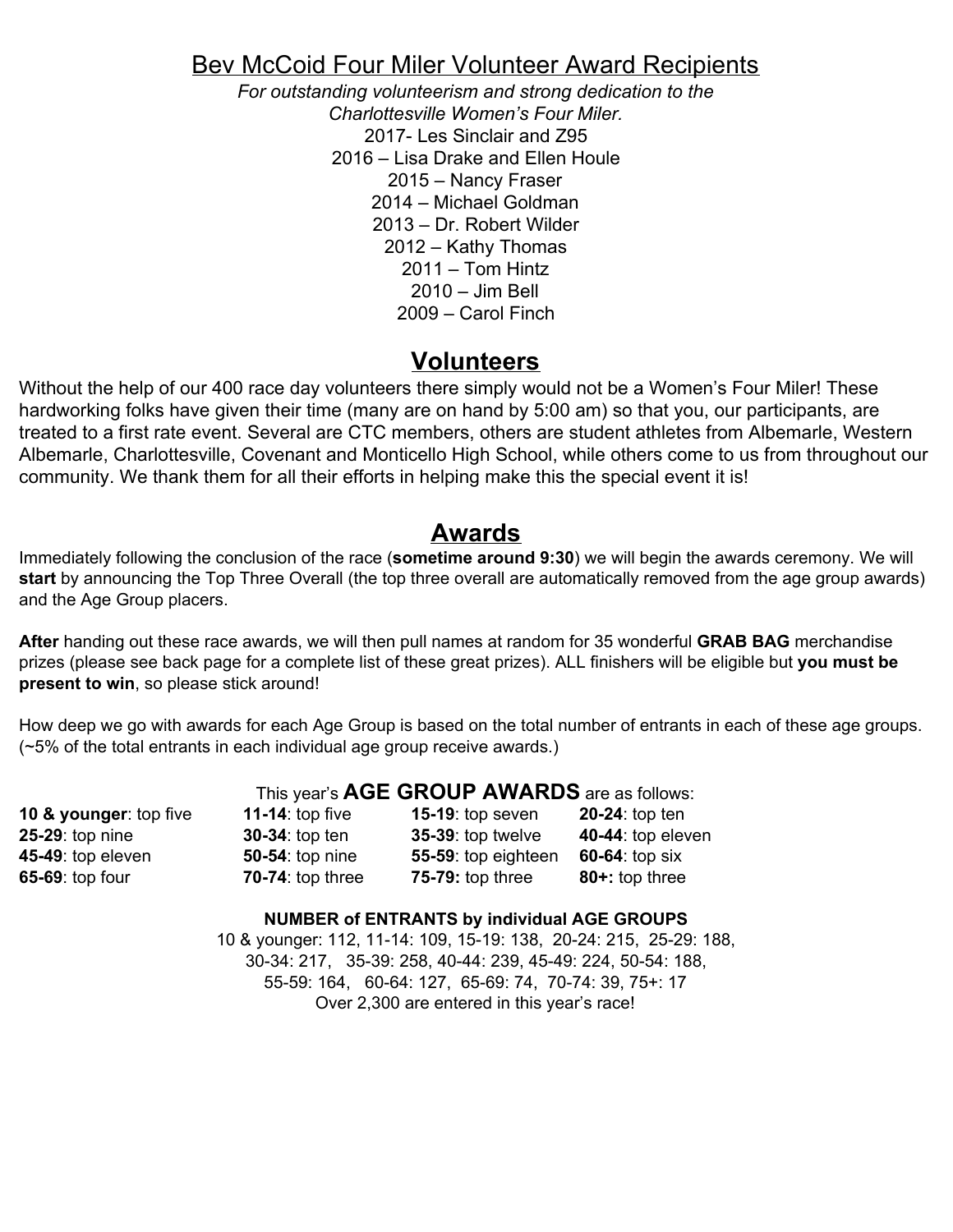### Bev McCoid Four Miler Volunteer Award Recipients

*For outstanding volunteerism and strong dedication to the Charlottesville Women's Four Miler.* 2017- Les Sinclair and Z95 2016 – Lisa Drake and Ellen Houle 2015 – Nancy Fraser 2014 – Michael Goldman 2013 – Dr. Robert Wilder 2012 – Kathy Thomas 2011 – Tom Hintz 2010 – Jim Bell 2009 – Carol Finch

#### **Volunteers**

Without the help of our 400 race day volunteers there simply would not be a Women's Four Miler! These hardworking folks have given their time (many are on hand by 5:00 am) so that you, our participants, are treated to a first rate event. Several are CTC members, others are student athletes from Albemarle, Western Albemarle, Charlottesville, Covenant and Monticello High School, while others come to us from throughout our community. We thank them for all their efforts in helping make this the special event it is!

#### **Awards**

Immediately following the conclusion of the race (**sometime around 9:30**) we will begin the awards ceremony. We will **start** by announcing the Top Three Overall (the top three overall are automatically removed from the age group awards) and the Age Group placers.

**After** handing out these race awards, we will then pull names at random for 35 wonderful **GRAB BAG** merchandise prizes (please see back page for a complete list of these great prizes). ALL finishers will be eligible but **you must be present to win**, so please stick around!

How deep we go with awards for each Age Group is based on the total number of entrants in each of these age groups. (~5% of the total entrants in each individual age group receive awards.)

|                        | This year's AGE GROUP AWARDS are as follows: |                          |                   |  |  |
|------------------------|----------------------------------------------|--------------------------|-------------------|--|--|
| 10 & younger: top five | 11-14: top five                              | 15-19: top seven         | 20-24: top ten    |  |  |
| 25-29: top nine        | 30-34: top ten                               | <b>35-39: top twelve</b> | 40-44: top eleven |  |  |
| 45-49: top eleven      | <b>50-54:</b> top nine                       | 55-59: top eighteen      | 60-64: top six    |  |  |
| 65-69: top four        | 70-74: top three                             | <b>75-79: top three</b>  | 80+: top three    |  |  |

#### **NUMBER of ENTRANTS by individual AGE GROUPS**

10 & younger: 112, 11-14: 109, 15-19: 138, 20-24: 215, 25-29: 188, 30-34: 217, 35-39: 258, 40-44: 239, 45-49: 224, 50-54: 188, 55-59: 164, 60-64: 127, 65-69: 74, 70-74: 39, 75+: 17 Over 2,300 are entered in this year's race!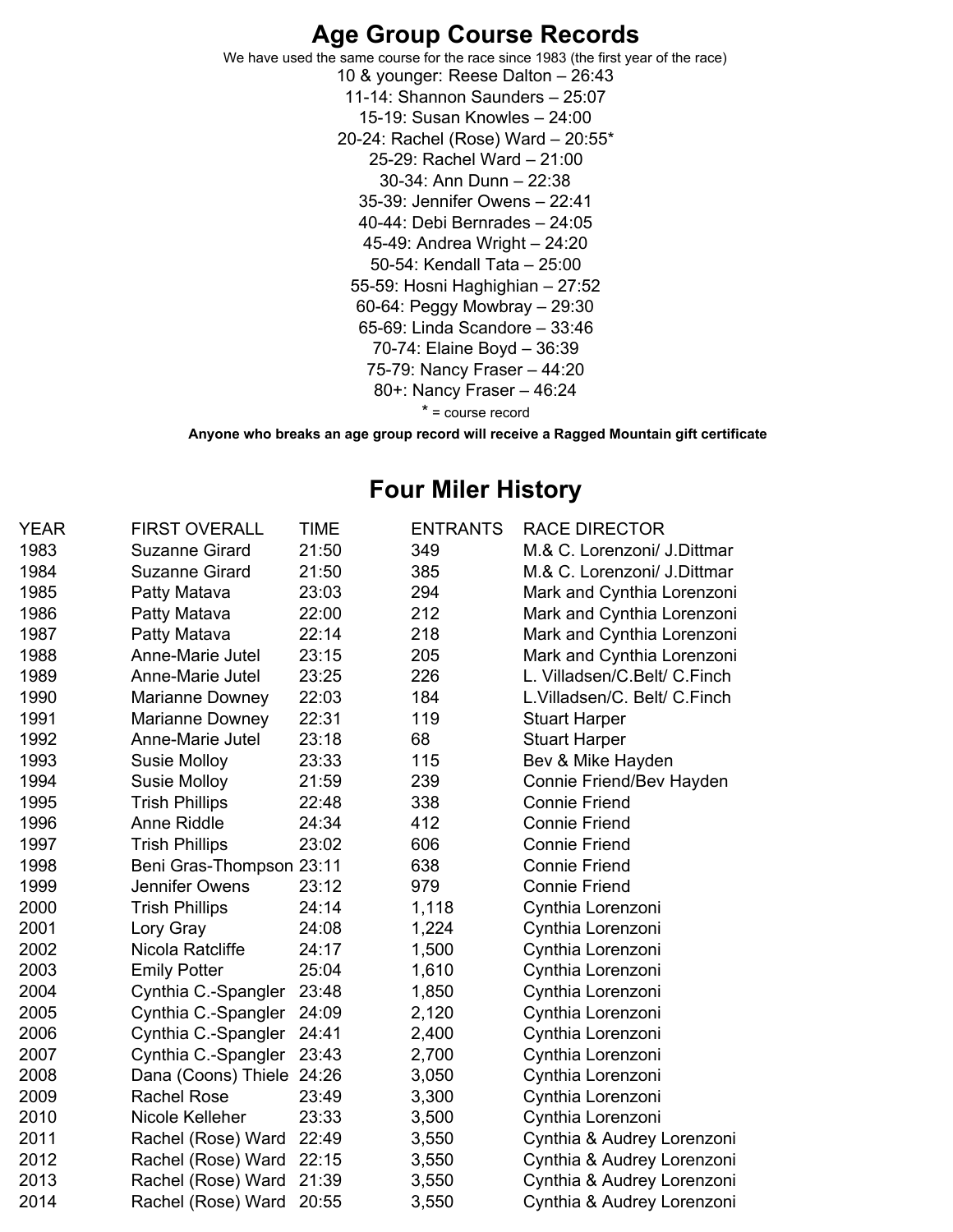### **Age Group Course Records**

We have used the same course for the race since 1983 (the first year of the race) & younger: Reese Dalton – 26:43 11-14: Shannon Saunders – 25:07 15-19: Susan Knowles – 24:00 20-24: Rachel (Rose) Ward – 20:55\* 25-29: Rachel Ward – 21:00 30-34: Ann Dunn – 22:38 35-39: Jennifer Owens – 22:41 40-44: Debi Bernrades – 24:05 45-49: Andrea Wright – 24:20 50-54: Kendall Tata – 25:00 55-59: Hosni Haghighian – 27:52 60-64: Peggy Mowbray – 29:30 65-69: Linda Scandore – 33:46 70-74: Elaine Boyd – 36:39 75-79: Nancy Fraser – 44:20 80+: Nancy Fraser – 46:24 \* = course record

**Anyone who breaks an age group record will receive a Ragged Mountain gift certificate**

### **Four Miler History**

| <b>YEAR</b> | <b>FIRST OVERALL</b>     | TIME  | <b>ENTRANTS</b> | <b>RACE DIRECTOR</b>         |
|-------------|--------------------------|-------|-----------------|------------------------------|
| 1983        | Suzanne Girard           | 21:50 | 349             | M.& C. Lorenzoni/ J. Dittmar |
| 1984        | <b>Suzanne Girard</b>    | 21:50 | 385             | M.& C. Lorenzoni/ J. Dittmar |
| 1985        | Patty Matava             | 23:03 | 294             | Mark and Cynthia Lorenzoni   |
| 1986        | Patty Matava             | 22:00 | 212             | Mark and Cynthia Lorenzoni   |
| 1987        | Patty Matava             | 22:14 | 218             | Mark and Cynthia Lorenzoni   |
| 1988        | Anne-Marie Jutel         | 23:15 | 205             | Mark and Cynthia Lorenzoni   |
| 1989        | Anne-Marie Jutel         | 23:25 | 226             | L. Villadsen/C.Belt/ C.Finch |
| 1990        | Marianne Downey          | 22:03 | 184             | L.Villadsen/C. Belt/ C.Finch |
| 1991        | Marianne Downey          | 22:31 | 119             | <b>Stuart Harper</b>         |
| 1992        | Anne-Marie Jutel         | 23:18 | 68              | <b>Stuart Harper</b>         |
| 1993        | <b>Susie Molloy</b>      | 23:33 | 115             | Bev & Mike Hayden            |
| 1994        | Susie Molloy             | 21:59 | 239             | Connie Friend/Bev Hayden     |
| 1995        | <b>Trish Phillips</b>    | 22:48 | 338             | <b>Connie Friend</b>         |
| 1996        | Anne Riddle              | 24:34 | 412             | <b>Connie Friend</b>         |
| 1997        | <b>Trish Phillips</b>    | 23:02 | 606             | <b>Connie Friend</b>         |
| 1998        | Beni Gras-Thompson 23:11 |       | 638             | <b>Connie Friend</b>         |
| 1999        | Jennifer Owens           | 23:12 | 979             | <b>Connie Friend</b>         |
| 2000        | <b>Trish Phillips</b>    | 24:14 | 1,118           | Cynthia Lorenzoni            |
| 2001        | Lory Gray                | 24:08 | 1,224           | Cynthia Lorenzoni            |
| 2002        | Nicola Ratcliffe         | 24:17 | 1,500           | Cynthia Lorenzoni            |
| 2003        | <b>Emily Potter</b>      | 25:04 | 1,610           | Cynthia Lorenzoni            |
| 2004        | Cynthia C.-Spangler      | 23:48 | 1,850           | Cynthia Lorenzoni            |
| 2005        | Cynthia C.-Spangler      | 24:09 | 2,120           | Cynthia Lorenzoni            |
| 2006        | Cynthia C.-Spangler      | 24:41 | 2,400           | Cynthia Lorenzoni            |
| 2007        | Cynthia C.-Spangler      | 23:43 | 2,700           | Cynthia Lorenzoni            |
| 2008        | Dana (Coons) Thiele      | 24:26 | 3,050           | Cynthia Lorenzoni            |
| 2009        | <b>Rachel Rose</b>       | 23:49 | 3,300           | Cynthia Lorenzoni            |
| 2010        | Nicole Kelleher          | 23:33 | 3,500           | Cynthia Lorenzoni            |
| 2011        | Rachel (Rose) Ward       | 22:49 | 3,550           | Cynthia & Audrey Lorenzoni   |
| 2012        | Rachel (Rose) Ward       | 22:15 | 3,550           | Cynthia & Audrey Lorenzoni   |
| 2013        | Rachel (Rose) Ward       | 21:39 | 3,550           | Cynthia & Audrey Lorenzoni   |
| 2014        | Rachel (Rose) Ward       | 20:55 | 3,550           | Cynthia & Audrey Lorenzoni   |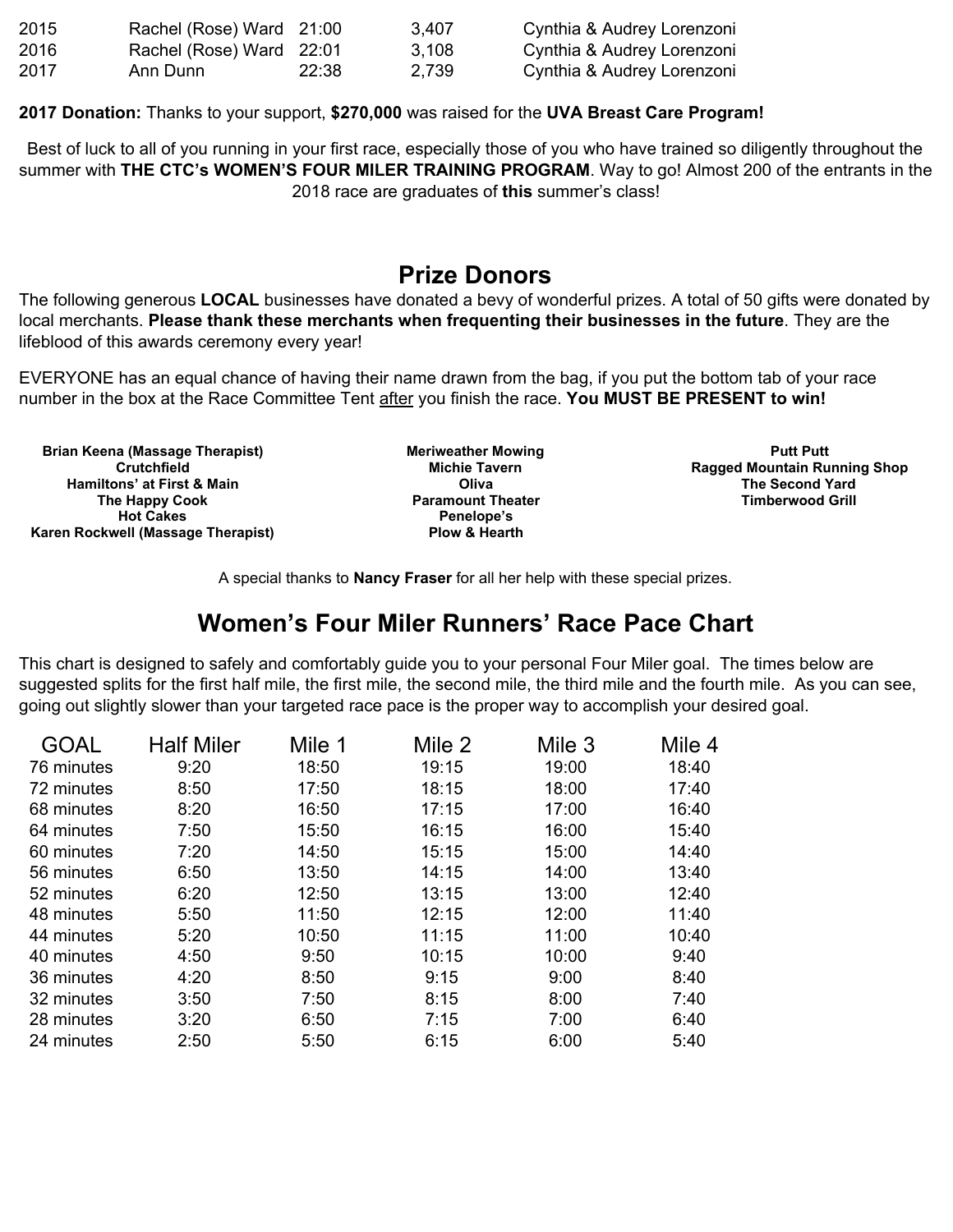| 2015 | Rachel (Rose) Ward 21:00 |       | 3,407 | Cynthia & Audrey Lorenzoni |
|------|--------------------------|-------|-------|----------------------------|
| 2016 | Rachel (Rose) Ward 22:01 |       | 3,108 | Cynthia & Audrey Lorenzoni |
| 2017 | Ann Dunn                 | 22:38 | 2.739 | Cynthia & Audrey Lorenzoni |

**2017 Donation:** Thanks to your support, **\$270,000** was raised for the **UVA Breast Care Program!**

Best of luck to all of you running in your first race, especially those of you who have trained so diligently throughout the summer with **THE CTC's WOMEN'S FOUR MILER TRAINING PROGRAM**. Way to go! Almost 200 of the entrants in the 2018 race are graduates of **this** summer's class!

### **Prize Donors**

The following generous **LOCAL** businesses have donated a bevy of wonderful prizes. A total of 50 gifts were donated by local merchants. **Please thank these merchants when frequenting their businesses in the future**. They are the lifeblood of this awards ceremony every year!

EVERYONE has an equal chance of having their name drawn from the bag, if you put the bottom tab of your race number in the box at the Race Committee Tent after you finish the race. **You MUST BE PRESENT to win!**

**Brian Keena (Massage Therapist) Crutchfield Hamiltons' at First & Main The Happy Cook Hot Cakes Karen Rockwell (Massage Therapist)** **Meriweather Mowing Michie Tavern Oliva Paramount Theater Penelope's Plow & Hearth**

**Putt Putt Ragged Mountain Running Shop The Second Yard Timberwood Grill**

A special thanks to **Nancy Fraser** for all her help with these special prizes.

# **Women's Four Miler Runners' Race Pace Chart**

This chart is designed to safely and comfortably guide you to your personal Four Miler goal. The times below are suggested splits for the first half mile, the first mile, the second mile, the third mile and the fourth mile. As you can see, going out slightly slower than your targeted race pace is the proper way to accomplish your desired goal.

| GOAL       | <b>Half Miler</b> | Mile 1 | Mile 2 | Mile 3 | Mile 4 |
|------------|-------------------|--------|--------|--------|--------|
| 76 minutes | 9:20              | 18:50  | 19:15  | 19:00  | 18:40  |
| 72 minutes | 8:50              | 17:50  | 18:15  | 18:00  | 17:40  |
| 68 minutes | 8:20              | 16:50  | 17:15  | 17:00  | 16:40  |
| 64 minutes | 7:50              | 15:50  | 16:15  | 16:00  | 15:40  |
| 60 minutes | 7:20              | 14:50  | 15:15  | 15:00  | 14:40  |
| 56 minutes | 6:50              | 13:50  | 14:15  | 14:00  | 13:40  |
| 52 minutes | 6:20              | 12:50  | 13:15  | 13:00  | 12:40  |
| 48 minutes | 5:50              | 11:50  | 12:15  | 12:00  | 11:40  |
| 44 minutes | 5:20              | 10:50  | 11:15  | 11:00  | 10:40  |
| 40 minutes | 4:50              | 9:50   | 10:15  | 10:00  | 9:40   |
| 36 minutes | 4:20              | 8:50   | 9:15   | 9:00   | 8:40   |
| 32 minutes | 3:50              | 7:50   | 8:15   | 8:00   | 7:40   |
| 28 minutes | 3:20              | 6:50   | 7:15   | 7:00   | 6:40   |
| 24 minutes | 2:50              | 5:50   | 6:15   | 6:00   | 5:40   |